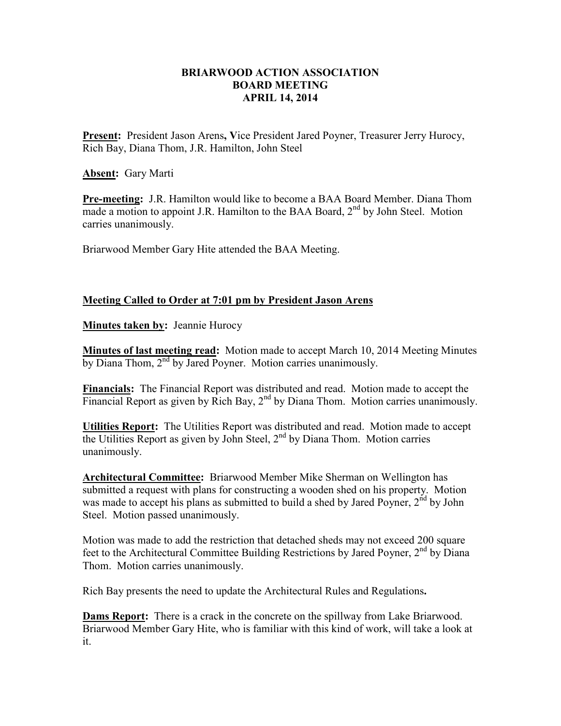## **BRIARWOOD ACTION ASSOCIATION BOARD MEETING APRIL 14, 2014**

**Present:** President Jason Arens**, V**ice President Jared Poyner, Treasurer Jerry Hurocy, Rich Bay, Diana Thom, J.R. Hamilton, John Steel

**Absent:** Gary Marti

**Pre-meeting:** J.R. Hamilton would like to become a BAA Board Member. Diana Thom made a motion to appoint J.R. Hamilton to the BAA Board, 2<sup>nd</sup> by John Steel. Motion carries unanimously.

Briarwood Member Gary Hite attended the BAA Meeting.

## **Meeting Called to Order at 7:01 pm by President Jason Arens**

**Minutes taken by:** Jeannie Hurocy

**Minutes of last meeting read:** Motion made to accept March 10, 2014 Meeting Minutes by Diana Thom, 2<sup>nd</sup> by Jared Poyner. Motion carries unanimously.

**Financials:** The Financial Report was distributed and read. Motion made to accept the Financial Report as given by Rich Bay,  $2<sup>nd</sup>$  by Diana Thom. Motion carries unanimously.

**Utilities Report:** The Utilities Report was distributed and read. Motion made to accept the Utilities Report as given by John Steel,  $2<sup>nd</sup>$  by Diana Thom. Motion carries unanimously.

**Architectural Committee:** Briarwood Member Mike Sherman on Wellington has submitted a request with plans for constructing a wooden shed on his property. Motion was made to accept his plans as submitted to build a shed by Jared Poyner,  $2<sup>nd</sup>$  by John Steel. Motion passed unanimously.

Motion was made to add the restriction that detached sheds may not exceed 200 square feet to the Architectural Committee Building Restrictions by Jared Poyner,  $2<sup>nd</sup>$  by Diana Thom. Motion carries unanimously.

Rich Bay presents the need to update the Architectural Rules and Regulations**.** 

**Dams Report:** There is a crack in the concrete on the spillway from Lake Briarwood. Briarwood Member Gary Hite, who is familiar with this kind of work, will take a look at it.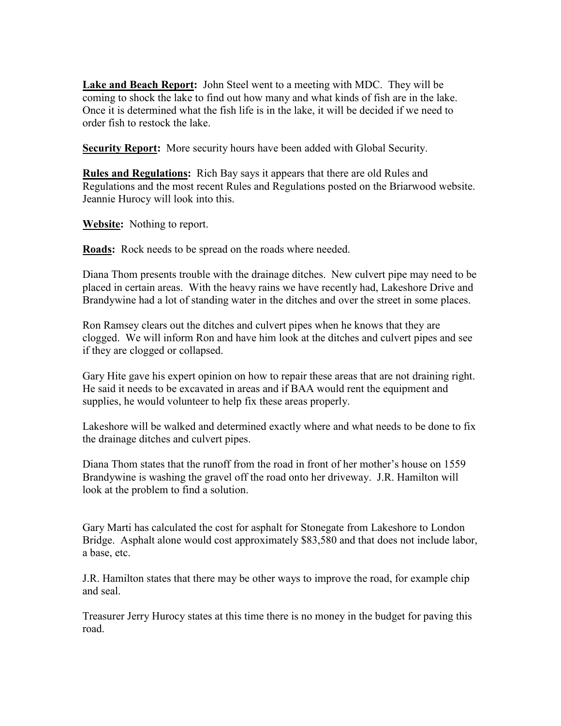**Lake and Beach Report:** John Steel went to a meeting with MDC. They will be coming to shock the lake to find out how many and what kinds of fish are in the lake. Once it is determined what the fish life is in the lake, it will be decided if we need to order fish to restock the lake.

**Security Report:** More security hours have been added with Global Security.

**Rules and Regulations:** Rich Bay says it appears that there are old Rules and Regulations and the most recent Rules and Regulations posted on the Briarwood website. Jeannie Hurocy will look into this.

**Website:** Nothing to report.

**Roads:** Rock needs to be spread on the roads where needed.

Diana Thom presents trouble with the drainage ditches. New culvert pipe may need to be placed in certain areas. With the heavy rains we have recently had, Lakeshore Drive and Brandywine had a lot of standing water in the ditches and over the street in some places.

Ron Ramsey clears out the ditches and culvert pipes when he knows that they are clogged. We will inform Ron and have him look at the ditches and culvert pipes and see if they are clogged or collapsed.

Gary Hite gave his expert opinion on how to repair these areas that are not draining right. He said it needs to be excavated in areas and if BAA would rent the equipment and supplies, he would volunteer to help fix these areas properly.

Lakeshore will be walked and determined exactly where and what needs to be done to fix the drainage ditches and culvert pipes.

Diana Thom states that the runoff from the road in front of her mother's house on 1559 Brandywine is washing the gravel off the road onto her driveway. J.R. Hamilton will look at the problem to find a solution.

Gary Marti has calculated the cost for asphalt for Stonegate from Lakeshore to London Bridge. Asphalt alone would cost approximately \$83,580 and that does not include labor, a base, etc.

J.R. Hamilton states that there may be other ways to improve the road, for example chip and seal.

Treasurer Jerry Hurocy states at this time there is no money in the budget for paving this road.